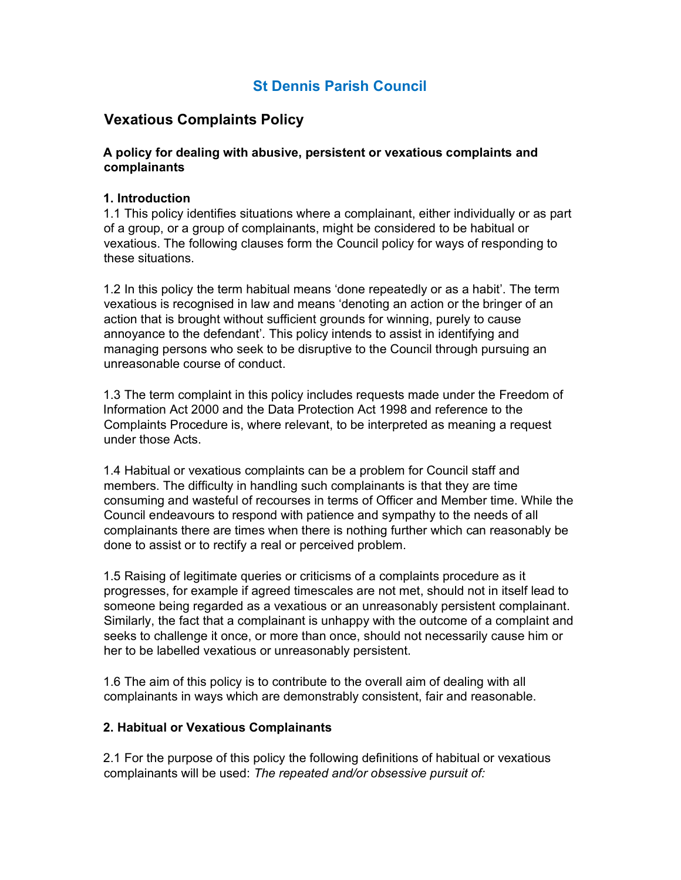# St Dennis Parish Council

## Vexatious Complaints Policy

## A policy for dealing with abusive, persistent or vexatious complaints and complainants

## 1. Introduction

1.1 This policy identifies situations where a complainant, either individually or as part of a group, or a group of complainants, might be considered to be habitual or vexatious. The following clauses form the Council policy for ways of responding to these situations.

1.2 In this policy the term habitual means 'done repeatedly or as a habit'. The term vexatious is recognised in law and means 'denoting an action or the bringer of an action that is brought without sufficient grounds for winning, purely to cause annoyance to the defendant'. This policy intends to assist in identifying and managing persons who seek to be disruptive to the Council through pursuing an unreasonable course of conduct.

1.3 The term complaint in this policy includes requests made under the Freedom of Information Act 2000 and the Data Protection Act 1998 and reference to the Complaints Procedure is, where relevant, to be interpreted as meaning a request under those Acts.

1.4 Habitual or vexatious complaints can be a problem for Council staff and members. The difficulty in handling such complainants is that they are time consuming and wasteful of recourses in terms of Officer and Member time. While the Council endeavours to respond with patience and sympathy to the needs of all complainants there are times when there is nothing further which can reasonably be done to assist or to rectify a real or perceived problem.

1.5 Raising of legitimate queries or criticisms of a complaints procedure as it progresses, for example if agreed timescales are not met, should not in itself lead to someone being regarded as a vexatious or an unreasonably persistent complainant. Similarly, the fact that a complainant is unhappy with the outcome of a complaint and seeks to challenge it once, or more than once, should not necessarily cause him or her to be labelled vexatious or unreasonably persistent.

1.6 The aim of this policy is to contribute to the overall aim of dealing with all complainants in ways which are demonstrably consistent, fair and reasonable.

#### 2. Habitual or Vexatious Complainants

2.1 For the purpose of this policy the following definitions of habitual or vexatious complainants will be used: The repeated and/or obsessive pursuit of: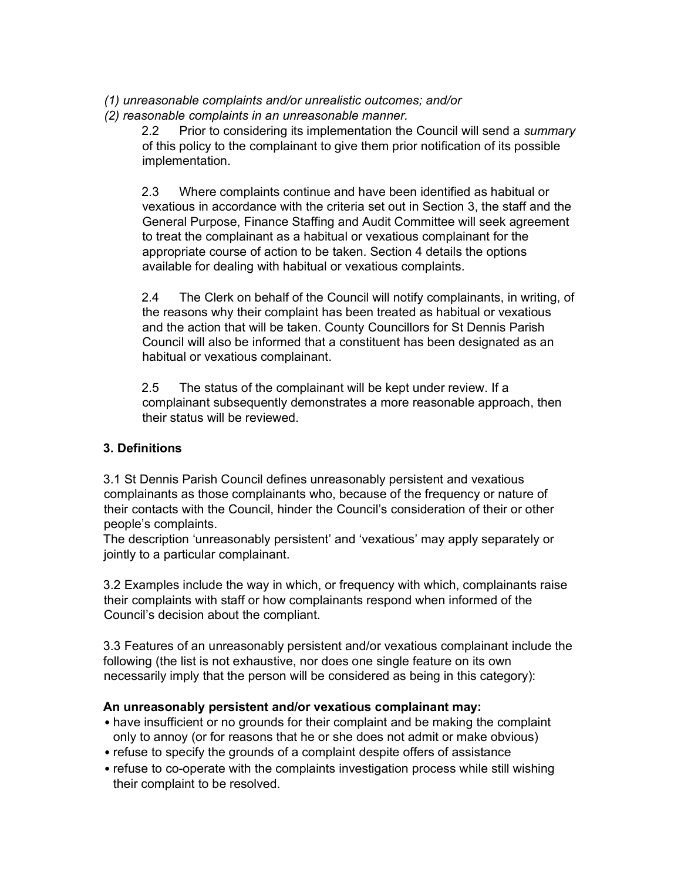- (1) unreasonable complaints and/or unrealistic outcomes; and/or
- (2) reasonable complaints in an unreasonable manner.

2.2 Prior to considering its implementation the Council will send a summary of this policy to the complainant to give them prior notification of its possible implementation.

2.3 Where complaints continue and have been identified as habitual or vexatious in accordance with the criteria set out in Section 3, the staff and the General Purpose, Finance Staffing and Audit Committee will seek agreement to treat the complainant as a habitual or vexatious complainant for the appropriate course of action to be taken. Section 4 details the options available for dealing with habitual or vexatious complaints.

2.4 The Clerk on behalf of the Council will notify complainants, in writing, of the reasons why their complaint has been treated as habitual or vexatious and the action that will be taken. County Councillors for St Dennis Parish Council will also be informed that a constituent has been designated as an habitual or vexatious complainant.

2.5 The status of the complainant will be kept under review. If a complainant subsequently demonstrates a more reasonable approach, then their status will be reviewed.

## 3. Definitions

3.1 St Dennis Parish Council defines unreasonably persistent and vexatious complainants as those complainants who, because of the frequency or nature of their contacts with the Council, hinder the Council's consideration of their or other people's complaints.

The description 'unreasonably persistent' and 'vexatious' may apply separately or jointly to a particular complainant.

3.2 Examples include the way in which, or frequency with which, complainants raise their complaints with staff or how complainants respond when informed of the Council's decision about the compliant.

3.3 Features of an unreasonably persistent and/or vexatious complainant include the following (the list is not exhaustive, nor does one single feature on its own necessarily imply that the person will be considered as being in this category):

## An unreasonably persistent and/or vexatious complainant may:

- have insufficient or no grounds for their complaint and be making the complaint only to annoy (or for reasons that he or she does not admit or make obvious)
- refuse to specify the grounds of a complaint despite offers of assistance
- refuse to co-operate with the complaints investigation process while still wishing their complaint to be resolved.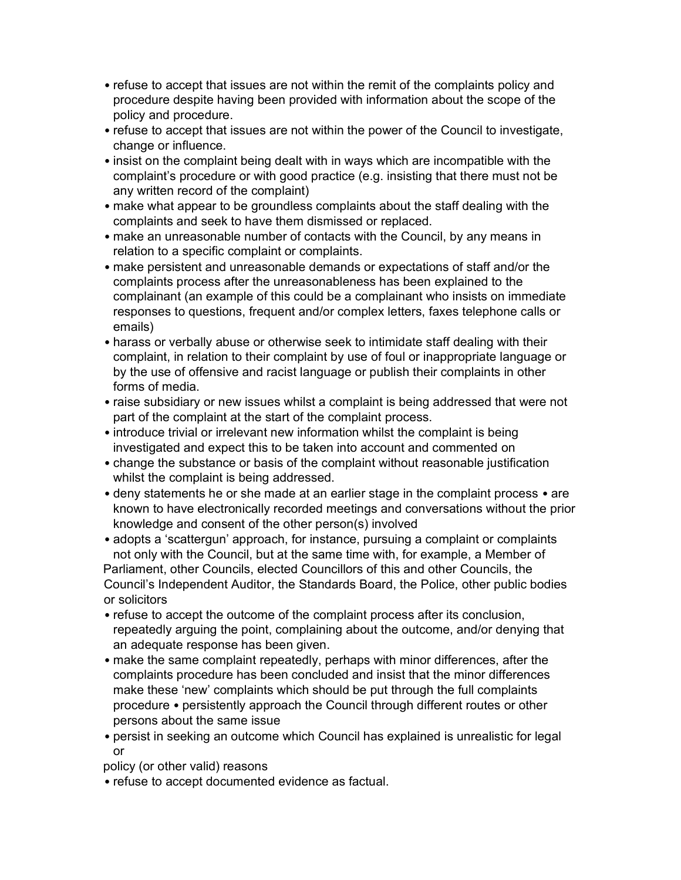- refuse to accept that issues are not within the remit of the complaints policy and procedure despite having been provided with information about the scope of the policy and procedure.
- refuse to accept that issues are not within the power of the Council to investigate, change or influence.
- insist on the complaint being dealt with in ways which are incompatible with the complaint's procedure or with good practice (e.g. insisting that there must not be any written record of the complaint)
- make what appear to be groundless complaints about the staff dealing with the complaints and seek to have them dismissed or replaced.
- make an unreasonable number of contacts with the Council, by any means in relation to a specific complaint or complaints.
- make persistent and unreasonable demands or expectations of staff and/or the complaints process after the unreasonableness has been explained to the complainant (an example of this could be a complainant who insists on immediate responses to questions, frequent and/or complex letters, faxes telephone calls or emails)
- harass or verbally abuse or otherwise seek to intimidate staff dealing with their complaint, in relation to their complaint by use of foul or inappropriate language or by the use of offensive and racist language or publish their complaints in other forms of media.
- raise subsidiary or new issues whilst a complaint is being addressed that were not part of the complaint at the start of the complaint process.
- introduce trivial or irrelevant new information whilst the complaint is being investigated and expect this to be taken into account and commented on
- change the substance or basis of the complaint without reasonable justification whilst the complaint is being addressed.
- deny statements he or she made at an earlier stage in the complaint process are known to have electronically recorded meetings and conversations without the prior knowledge and consent of the other person(s) involved
- adopts a 'scattergun' approach, for instance, pursuing a complaint or complaints not only with the Council, but at the same time with, for example, a Member of Parliament, other Councils, elected Councillors of this and other Councils, the Council's Independent Auditor, the Standards Board, the Police, other public bodies or solicitors
- refuse to accept the outcome of the complaint process after its conclusion, repeatedly arguing the point, complaining about the outcome, and/or denying that an adequate response has been given.
- make the same complaint repeatedly, perhaps with minor differences, after the complaints procedure has been concluded and insist that the minor differences make these 'new' complaints which should be put through the full complaints procedure • persistently approach the Council through different routes or other persons about the same issue
- persist in seeking an outcome which Council has explained is unrealistic for legal or

policy (or other valid) reasons

• refuse to accept documented evidence as factual.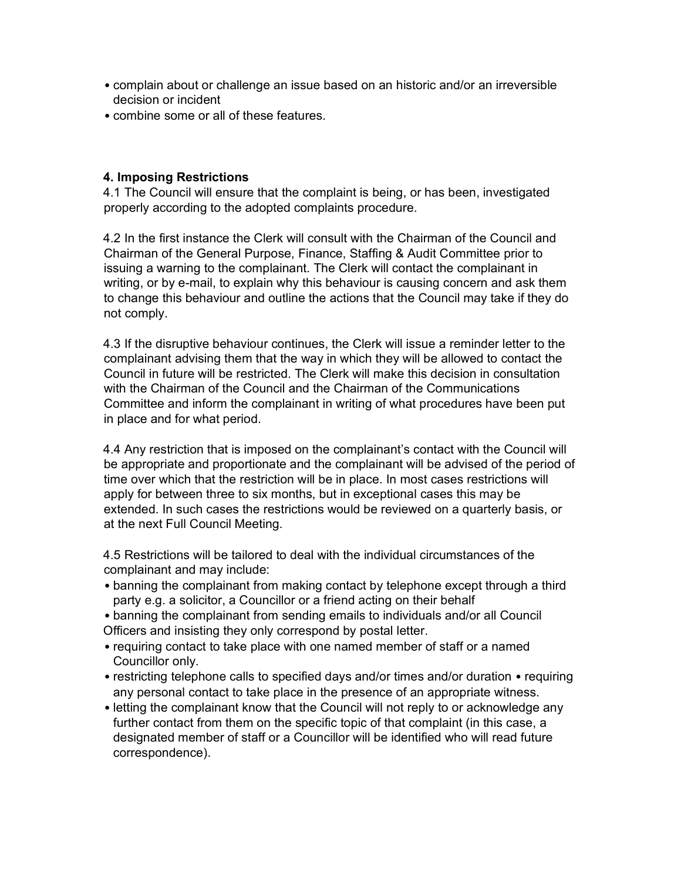- complain about or challenge an issue based on an historic and/or an irreversible decision or incident
- combine some or all of these features.

## 4. Imposing Restrictions

4.1 The Council will ensure that the complaint is being, or has been, investigated properly according to the adopted complaints procedure.

4.2 In the first instance the Clerk will consult with the Chairman of the Council and Chairman of the General Purpose, Finance, Staffing & Audit Committee prior to issuing a warning to the complainant. The Clerk will contact the complainant in writing, or by e-mail, to explain why this behaviour is causing concern and ask them to change this behaviour and outline the actions that the Council may take if they do not comply.

4.3 If the disruptive behaviour continues, the Clerk will issue a reminder letter to the complainant advising them that the way in which they will be allowed to contact the Council in future will be restricted. The Clerk will make this decision in consultation with the Chairman of the Council and the Chairman of the Communications Committee and inform the complainant in writing of what procedures have been put in place and for what period.

4.4 Any restriction that is imposed on the complainant's contact with the Council will be appropriate and proportionate and the complainant will be advised of the period of time over which that the restriction will be in place. In most cases restrictions will apply for between three to six months, but in exceptional cases this may be extended. In such cases the restrictions would be reviewed on a quarterly basis, or at the next Full Council Meeting.

4.5 Restrictions will be tailored to deal with the individual circumstances of the complainant and may include:

- banning the complainant from making contact by telephone except through a third party e.g. a solicitor, a Councillor or a friend acting on their behalf
- banning the complainant from sending emails to individuals and/or all Council Officers and insisting they only correspond by postal letter.
- requiring contact to take place with one named member of staff or a named Councillor only.
- restricting telephone calls to specified days and/or times and/or duration requiring any personal contact to take place in the presence of an appropriate witness.
- letting the complainant know that the Council will not reply to or acknowledge any further contact from them on the specific topic of that complaint (in this case, a designated member of staff or a Councillor will be identified who will read future correspondence).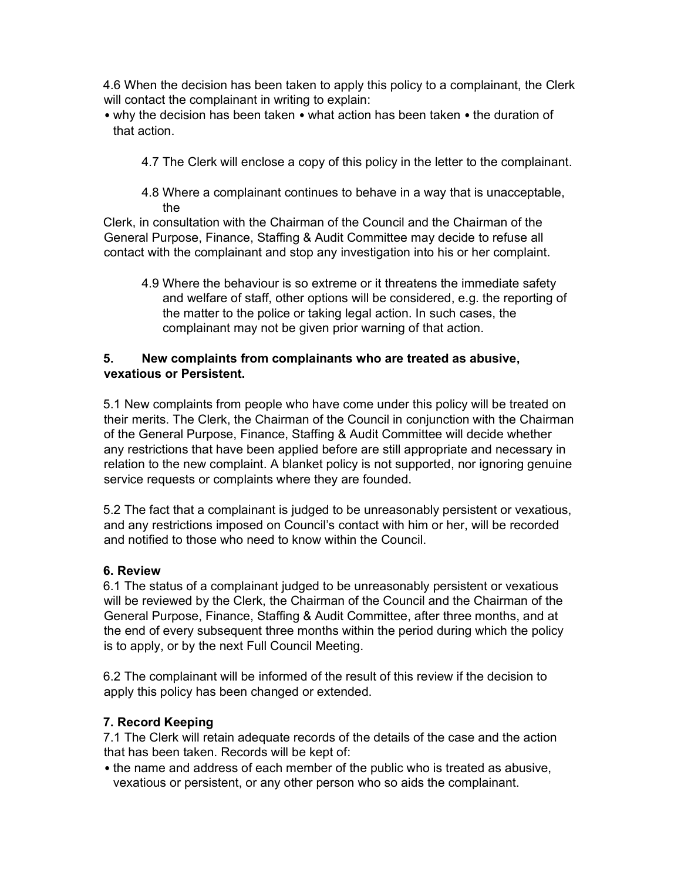4.6 When the decision has been taken to apply this policy to a complainant, the Clerk will contact the complainant in writing to explain:

- why the decision has been taken what action has been taken the duration of that action.
	- 4.7 The Clerk will enclose a copy of this policy in the letter to the complainant.
	- 4.8 Where a complainant continues to behave in a way that is unacceptable, the

Clerk, in consultation with the Chairman of the Council and the Chairman of the General Purpose, Finance, Staffing & Audit Committee may decide to refuse all contact with the complainant and stop any investigation into his or her complaint.

4.9 Where the behaviour is so extreme or it threatens the immediate safety and welfare of staff, other options will be considered, e.g. the reporting of the matter to the police or taking legal action. In such cases, the complainant may not be given prior warning of that action.

## 5. New complaints from complainants who are treated as abusive, vexatious or Persistent.

5.1 New complaints from people who have come under this policy will be treated on their merits. The Clerk, the Chairman of the Council in conjunction with the Chairman of the General Purpose, Finance, Staffing & Audit Committee will decide whether any restrictions that have been applied before are still appropriate and necessary in relation to the new complaint. A blanket policy is not supported, nor ignoring genuine service requests or complaints where they are founded.

5.2 The fact that a complainant is judged to be unreasonably persistent or vexatious, and any restrictions imposed on Council's contact with him or her, will be recorded and notified to those who need to know within the Council.

#### 6. Review

6.1 The status of a complainant judged to be unreasonably persistent or vexatious will be reviewed by the Clerk, the Chairman of the Council and the Chairman of the General Purpose, Finance, Staffing & Audit Committee, after three months, and at the end of every subsequent three months within the period during which the policy is to apply, or by the next Full Council Meeting.

6.2 The complainant will be informed of the result of this review if the decision to apply this policy has been changed or extended.

## 7. Record Keeping

7.1 The Clerk will retain adequate records of the details of the case and the action that has been taken. Records will be kept of:

• the name and address of each member of the public who is treated as abusive, vexatious or persistent, or any other person who so aids the complainant.